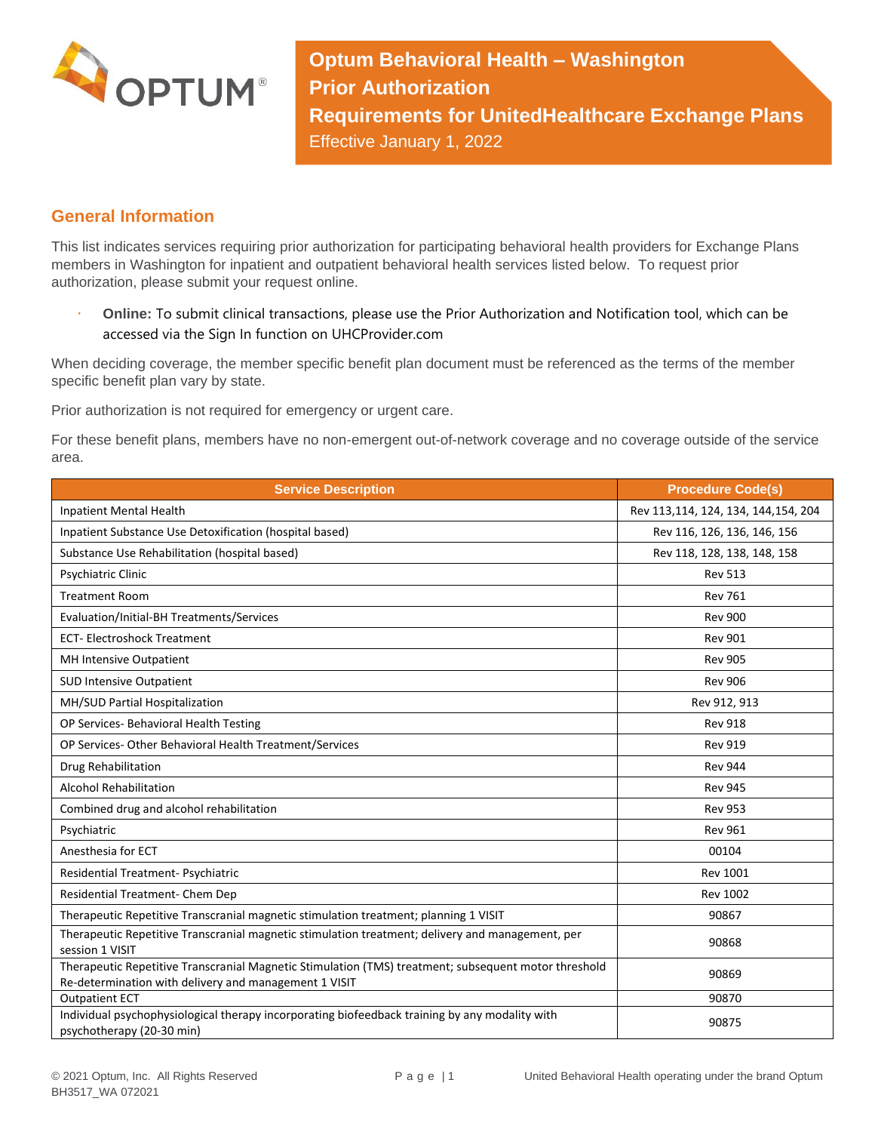

**Optum Behavioral Health – Washington Prior Authorization Requirements for UnitedHealthcare Exchange Plans** Effective January 1, 2022

## **General Information**

This list indicates services requiring prior authorization for participating behavioral health providers for Exchange Plans members in Washington for inpatient and outpatient behavioral health services listed below. To request prior authorization, please submit your request online.

 **Online:** To submit clinical transactions, please use the Prior Authorization and Notification tool, which can be accessed via the Sign In function on UHCProvider.com

When deciding coverage, the member specific benefit plan document must be referenced as the terms of the member specific benefit plan vary by state.

Prior authorization is not required for emergency or urgent care.

For these benefit plans, members have no non-emergent out-of-network coverage and no coverage outside of the service area.

| <b>Service Description</b>                                                                                                                                    | <b>Procedure Code(s)</b>            |
|---------------------------------------------------------------------------------------------------------------------------------------------------------------|-------------------------------------|
| Inpatient Mental Health                                                                                                                                       | Rev 113,114, 124, 134, 144,154, 204 |
| Inpatient Substance Use Detoxification (hospital based)                                                                                                       | Rev 116, 126, 136, 146, 156         |
| Substance Use Rehabilitation (hospital based)                                                                                                                 | Rev 118, 128, 138, 148, 158         |
| <b>Psychiatric Clinic</b>                                                                                                                                     | <b>Rev 513</b>                      |
| <b>Treatment Room</b>                                                                                                                                         | <b>Rev 761</b>                      |
| Evaluation/Initial-BH Treatments/Services                                                                                                                     | <b>Rev 900</b>                      |
| <b>ECT-Electroshock Treatment</b>                                                                                                                             | <b>Rev 901</b>                      |
| MH Intensive Outpatient                                                                                                                                       | <b>Rev 905</b>                      |
| <b>SUD Intensive Outpatient</b>                                                                                                                               | <b>Rev 906</b>                      |
| MH/SUD Partial Hospitalization                                                                                                                                | Rev 912, 913                        |
| OP Services- Behavioral Health Testing                                                                                                                        | <b>Rev 918</b>                      |
| OP Services- Other Behavioral Health Treatment/Services                                                                                                       | <b>Rev 919</b>                      |
| Drug Rehabilitation                                                                                                                                           | <b>Rev 944</b>                      |
| <b>Alcohol Rehabilitation</b>                                                                                                                                 | <b>Rev 945</b>                      |
| Combined drug and alcohol rehabilitation                                                                                                                      | <b>Rev 953</b>                      |
| Psychiatric                                                                                                                                                   | <b>Rev 961</b>                      |
| Anesthesia for ECT                                                                                                                                            | 00104                               |
| Residential Treatment- Psychiatric                                                                                                                            | <b>Rev 1001</b>                     |
| Residential Treatment- Chem Dep                                                                                                                               | <b>Rev 1002</b>                     |
| Therapeutic Repetitive Transcranial magnetic stimulation treatment; planning 1 VISIT                                                                          | 90867                               |
| Therapeutic Repetitive Transcranial magnetic stimulation treatment; delivery and management, per<br>session 1 VISIT                                           | 90868                               |
| Therapeutic Repetitive Transcranial Magnetic Stimulation (TMS) treatment; subsequent motor threshold<br>Re-determination with delivery and management 1 VISIT | 90869                               |
| <b>Outpatient ECT</b>                                                                                                                                         | 90870                               |
| Individual psychophysiological therapy incorporating biofeedback training by any modality with<br>psychotherapy (20-30 min)                                   | 90875                               |